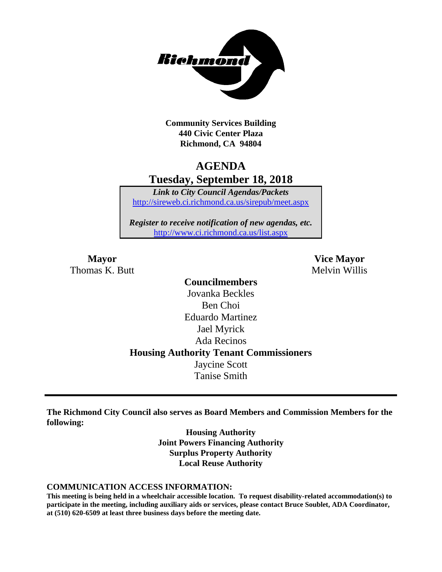

**Community Services Building 440 Civic Center Plaza Richmond, CA 94804**

# **AGENDA Tuesday, September 18, 2018**

*Link to City Council Agendas/Packets* <http://sireweb.ci.richmond.ca.us/sirepub/meet.aspx>

*Register to receive notification of new agendas, etc.* <http://www.ci.richmond.ca.us/list.aspx>

Thomas K. Butt Melvin Willis

**Mayor Vice Mayor**

**Councilmembers** Jovanka Beckles Ben Choi Eduardo Martinez Jael Myrick Ada Recinos **Housing Authority Tenant Commissioners** Jaycine Scott Tanise Smith

**The Richmond City Council also serves as Board Members and Commission Members for the following:**

> **Housing Authority Joint Powers Financing Authority Surplus Property Authority Local Reuse Authority**

#### **COMMUNICATION ACCESS INFORMATION:**

**This meeting is being held in a wheelchair accessible location. To request disability-related accommodation(s) to participate in the meeting, including auxiliary aids or services, please contact Bruce Soublet, ADA Coordinator, at (510) 620-6509 at least three business days before the meeting date.**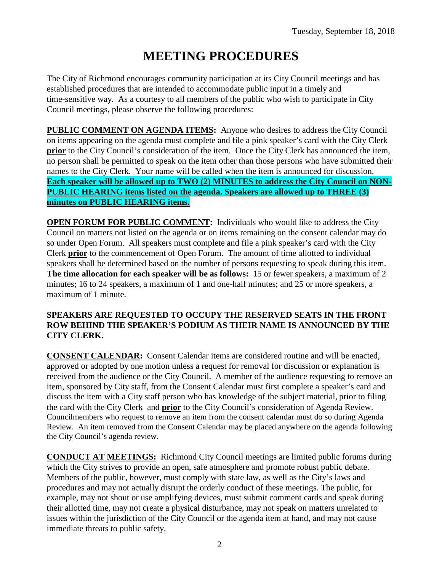# **MEETING PROCEDURES**

The City of Richmond encourages community participation at its City Council meetings and has established procedures that are intended to accommodate public input in a timely and time-sensitive way. As a courtesy to all members of the public who wish to participate in City Council meetings, please observe the following procedures:

**PUBLIC COMMENT ON AGENDA ITEMS:** Anyone who desires to address the City Council on items appearing on the agenda must complete and file a pink speaker's card with the City Clerk **prior** to the City Council's consideration of the item. Once the City Clerk has announced the item, no person shall be permitted to speak on the item other than those persons who have submitted their names to the City Clerk. Your name will be called when the item is announced for discussion. **Each speaker will be allowed up to TWO (2) MINUTES to address the City Council on NON-PUBLIC HEARING items listed on the agenda. Speakers are allowed up to THREE (3) minutes on PUBLIC HEARING items.**

**OPEN FORUM FOR PUBLIC COMMENT:** Individuals who would like to address the City Council on matters not listed on the agenda or on items remaining on the consent calendar may do so under Open Forum. All speakers must complete and file a pink speaker's card with the City Clerk **prior** to the commencement of Open Forum. The amount of time allotted to individual speakers shall be determined based on the number of persons requesting to speak during this item. **The time allocation for each speaker will be as follows:** 15 or fewer speakers, a maximum of 2 minutes; 16 to 24 speakers, a maximum of 1 and one-half minutes; and 25 or more speakers, a maximum of 1 minute.

### **SPEAKERS ARE REQUESTED TO OCCUPY THE RESERVED SEATS IN THE FRONT ROW BEHIND THE SPEAKER'S PODIUM AS THEIR NAME IS ANNOUNCED BY THE CITY CLERK.**

**CONSENT CALENDAR:** Consent Calendar items are considered routine and will be enacted, approved or adopted by one motion unless a request for removal for discussion or explanation is received from the audience or the City Council. A member of the audience requesting to remove an item, sponsored by City staff, from the Consent Calendar must first complete a speaker's card and discuss the item with a City staff person who has knowledge of the subject material, prior to filing the card with the City Clerk and **prior** to the City Council's consideration of Agenda Review. Councilmembers who request to remove an item from the consent calendar must do so during Agenda Review. An item removed from the Consent Calendar may be placed anywhere on the agenda following the City Council's agenda review.

**CONDUCT AT MEETINGS:** Richmond City Council meetings are limited public forums during which the City strives to provide an open, safe atmosphere and promote robust public debate. Members of the public, however, must comply with state law, as well as the City's laws and procedures and may not actually disrupt the orderly conduct of these meetings. The public, for example, may not shout or use amplifying devices, must submit comment cards and speak during their allotted time, may not create a physical disturbance, may not speak on matters unrelated to issues within the jurisdiction of the City Council or the agenda item at hand, and may not cause immediate threats to public safety.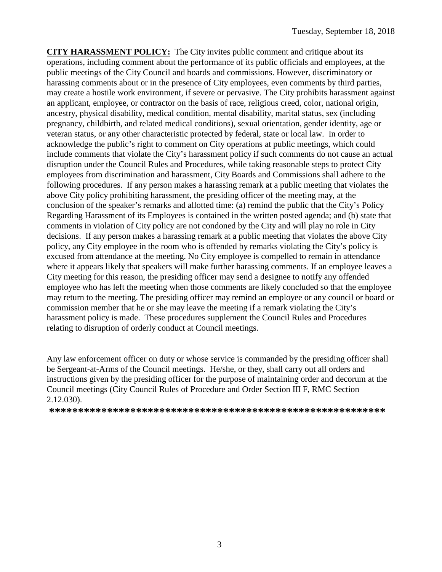**CITY HARASSMENT POLICY:** The City invites public comment and critique about its operations, including comment about the performance of its public officials and employees, at the public meetings of the City Council and boards and commissions. However, discriminatory or harassing comments about or in the presence of City employees, even comments by third parties, may create a hostile work environment, if severe or pervasive. The City prohibits harassment against an applicant, employee, or contractor on the basis of race, religious creed, color, national origin, ancestry, physical disability, medical condition, mental disability, marital status, sex (including pregnancy, childbirth, and related medical conditions), sexual orientation, gender identity, age or veteran status, or any other characteristic protected by federal, state or local law. In order to acknowledge the public's right to comment on City operations at public meetings, which could include comments that violate the City's harassment policy if such comments do not cause an actual disruption under the Council Rules and Procedures, while taking reasonable steps to protect City employees from discrimination and harassment, City Boards and Commissions shall adhere to the following procedures. If any person makes a harassing remark at a public meeting that violates the above City policy prohibiting harassment, the presiding officer of the meeting may, at the conclusion of the speaker's remarks and allotted time: (a) remind the public that the City's Policy Regarding Harassment of its Employees is contained in the written posted agenda; and (b) state that comments in violation of City policy are not condoned by the City and will play no role in City decisions. If any person makes a harassing remark at a public meeting that violates the above City policy, any City employee in the room who is offended by remarks violating the City's policy is excused from attendance at the meeting. No City employee is compelled to remain in attendance where it appears likely that speakers will make further harassing comments. If an employee leaves a City meeting for this reason, the presiding officer may send a designee to notify any offended employee who has left the meeting when those comments are likely concluded so that the employee may return to the meeting. The presiding officer may remind an employee or any council or board or commission member that he or she may leave the meeting if a remark violating the City's harassment policy is made. These procedures supplement the Council Rules and Procedures relating to disruption of orderly conduct at Council meetings.

Any law enforcement officer on duty or whose service is commanded by the presiding officer shall be Sergeant-at-Arms of the Council meetings. He/she, or they, shall carry out all orders and instructions given by the presiding officer for the purpose of maintaining order and decorum at the Council meetings (City Council Rules of Procedure and Order Section III F, RMC Section 2.12.030).

**\*\*\*\*\*\*\*\*\*\*\*\*\*\*\*\*\*\*\*\*\*\*\*\*\*\*\*\*\*\*\*\*\*\*\*\*\*\*\*\*\*\*\*\*\*\*\*\*\*\*\*\*\*\*\*\*\*\***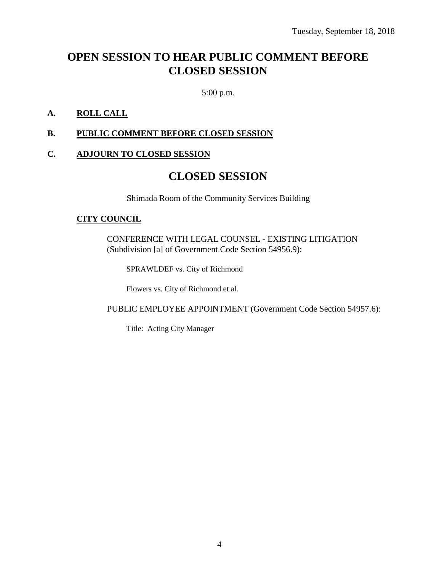# **OPEN SESSION TO HEAR PUBLIC COMMENT BEFORE CLOSED SESSION**

5:00 p.m.

### **A. ROLL CALL**

### **B. PUBLIC COMMENT BEFORE CLOSED SESSION**

### **C. ADJOURN TO CLOSED SESSION**

### **CLOSED SESSION**

Shimada Room of the Community Services Building

### **CITY COUNCIL**

CONFERENCE WITH LEGAL COUNSEL - EXISTING LITIGATION (Subdivision [a] of Government Code Section 54956.9):

SPRAWLDEF vs. City of Richmond

Flowers vs. City of Richmond et al.

PUBLIC EMPLOYEE APPOINTMENT (Government Code Section 54957.6):

Title: Acting City Manager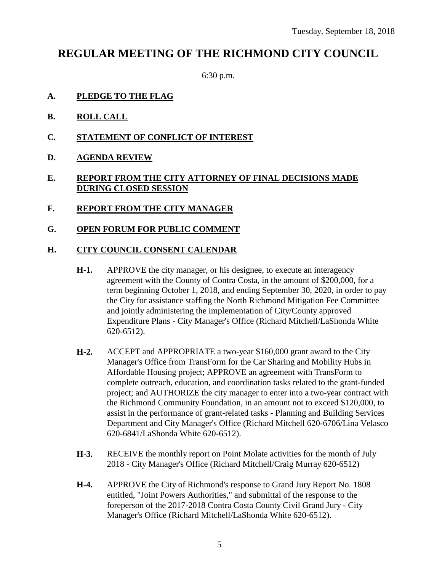# **REGULAR MEETING OF THE RICHMOND CITY COUNCIL**

6:30 p.m.

- **A. PLEDGE TO THE FLAG**
- **B. ROLL CALL**
- **C. STATEMENT OF CONFLICT OF INTEREST**
- **D. AGENDA REVIEW**

### **E. REPORT FROM THE CITY ATTORNEY OF FINAL DECISIONS MADE DURING CLOSED SESSION**

- **F. REPORT FROM THE CITY MANAGER**
- **G. OPEN FORUM FOR PUBLIC COMMENT**

### **H. CITY COUNCIL CONSENT CALENDAR**

- **H-1.** APPROVE the city manager, or his designee, to execute an interagency agreement with the County of Contra Costa, in the amount of \$200,000, for a term beginning October 1, 2018, and ending September 30, 2020, in order to pay the City for assistance staffing the North Richmond Mitigation Fee Committee and jointly administering the implementation of City/County approved Expenditure Plans - City Manager's Office (Richard Mitchell/LaShonda White 620-6512).
- **H-2.** ACCEPT and APPROPRIATE a two-year \$160,000 grant award to the City Manager's Office from TransForm for the Car Sharing and Mobility Hubs in Affordable Housing project; APPROVE an agreement with TransForm to complete outreach, education, and coordination tasks related to the grant-funded project; and AUTHORIZE the city manager to enter into a two-year contract with the Richmond Community Foundation, in an amount not to exceed \$120,000, to assist in the performance of grant-related tasks - Planning and Building Services Department and City Manager's Office (Richard Mitchell 620-6706/Lina Velasco 620-6841/LaShonda White 620-6512).
- **H-3.** RECEIVE the monthly report on Point Molate activities for the month of July 2018 - City Manager's Office (Richard Mitchell/Craig Murray 620-6512)
- **H-4.** APPROVE the City of Richmond's response to Grand Jury Report No. 1808 entitled, "Joint Powers Authorities," and submittal of the response to the foreperson of the 2017-2018 Contra Costa County Civil Grand Jury - City Manager's Office (Richard Mitchell/LaShonda White 620-6512).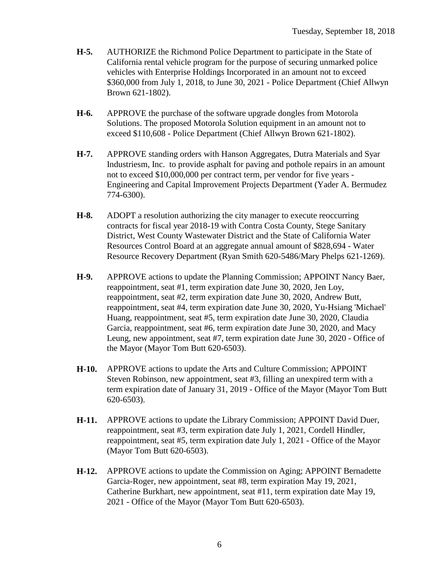- **H-5.** AUTHORIZE the Richmond Police Department to participate in the State of California rental vehicle program for the purpose of securing unmarked police vehicles with Enterprise Holdings Incorporated in an amount not to exceed \$360,000 from July 1, 2018, to June 30, 2021 - Police Department (Chief Allwyn Brown 621-1802).
- **H-6.** APPROVE the purchase of the software upgrade dongles from Motorola Solutions. The proposed Motorola Solution equipment in an amount not to exceed \$110,608 - Police Department (Chief Allwyn Brown 621-1802).
- **H-7.** APPROVE standing orders with Hanson Aggregates, Dutra Materials and Syar Industriesm, Inc. to provide asphalt for paving and pothole repairs in an amount not to exceed \$10,000,000 per contract term, per vendor for five years - Engineering and Capital Improvement Projects Department (Yader A. Bermudez 774-6300).
- **H-8.** ADOPT a resolution authorizing the city manager to execute reoccurring contracts for fiscal year 2018-19 with Contra Costa County, Stege Sanitary District, West County Wastewater District and the State of California Water Resources Control Board at an aggregate annual amount of \$828,694 - Water Resource Recovery Department (Ryan Smith 620-5486/Mary Phelps 621-1269).
- **H-9.** APPROVE actions to update the Planning Commission; APPOINT Nancy Baer, reappointment, seat #1, term expiration date June 30, 2020, Jen Loy, reappointment, seat #2, term expiration date June 30, 2020, Andrew Butt, reappointment, seat #4, term expiration date June 30, 2020, Yu-Hsiang 'Michael' Huang, reappointment, seat #5, term expiration date June 30, 2020, Claudia Garcia, reappointment, seat #6, term expiration date June 30, 2020, and Macy Leung, new appointment, seat #7, term expiration date June 30, 2020 - Office of the Mayor (Mayor Tom Butt 620-6503).
- **H-10.** APPROVE actions to update the Arts and Culture Commission; APPOINT Steven Robinson, new appointment, seat #3, filling an unexpired term with a term expiration date of January 31, 2019 - Office of the Mayor (Mayor Tom Butt 620-6503).
- **H-11.** APPROVE actions to update the Library Commission; APPOINT David Duer, reappointment, seat #3, term expiration date July 1, 2021, Cordell Hindler, reappointment, seat #5, term expiration date July 1, 2021 - Office of the Mayor (Mayor Tom Butt 620-6503).
- **H-12.** APPROVE actions to update the Commission on Aging; APPOINT Bernadette Garcia-Roger, new appointment, seat #8, term expiration May 19, 2021, Catherine Burkhart, new appointment, seat #11, term expiration date May 19, 2021 - Office of the Mayor (Mayor Tom Butt 620-6503).